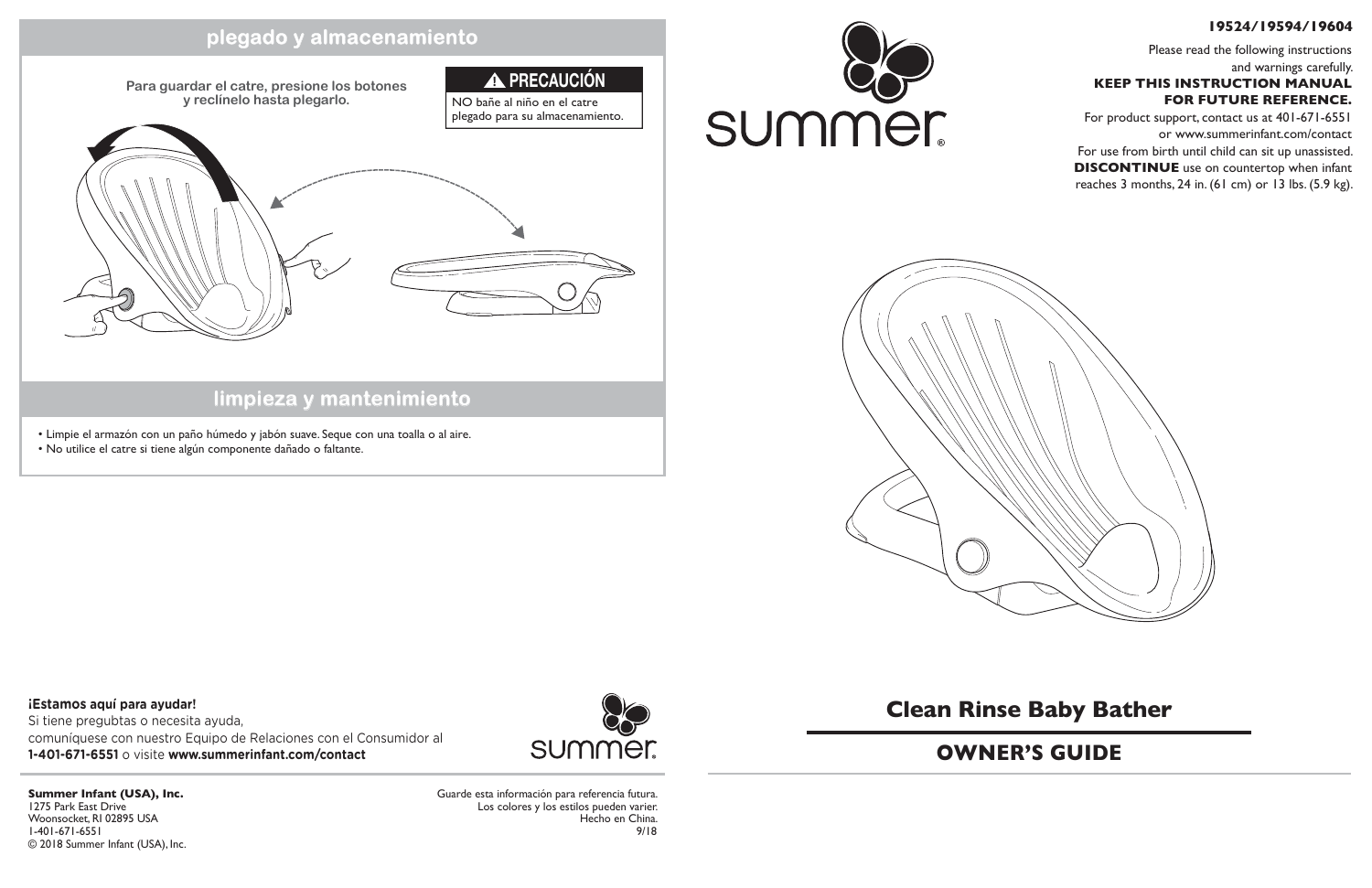## **Clean Rinse Baby Bather**

### **19524/19594/19604**

Please read the following instructions and warnings carefully. **KEEP THIS INSTRUCTION MANUAL FOR FUTURE REFERENCE.**

For product support, contact us at 401-671-6551 or www.summerinfant.com/contact

For use from birth until child can sit up unassisted. **DISCONTINUE** use on countertop when infant reaches 3 months, 24 in. (61 cm) or 13 lbs. (5.9 kg).



### **OWNER'S GUIDE**

## **limpieza y mantenimiento**

### **plegado y almacenamiento**

- Limpie el armazón con un paño húmedo y jabón suave. Seque con una toalla o al aire.
- No utilice el catre si tiene algún componente dañado o faltante.

Guarde esta información para referencia futura. Los colores y los estilos pueden varier. Hecho en China. 9/18



**Summer Infant (USA), Inc.** 1275 Park East Drive Woonsocket, RI 02895 USA 1-401-671-6551 © 2018 Summer Infant (USA), Inc.



**¡Estamos aquí para ayudar!** Si tiene pregubtas o necesita ayuda, comuníquese con nuestro Equipo de Relaciones con el Consumidor al **1-401-671-6551** o visite **www.summerinfant.com/contact**

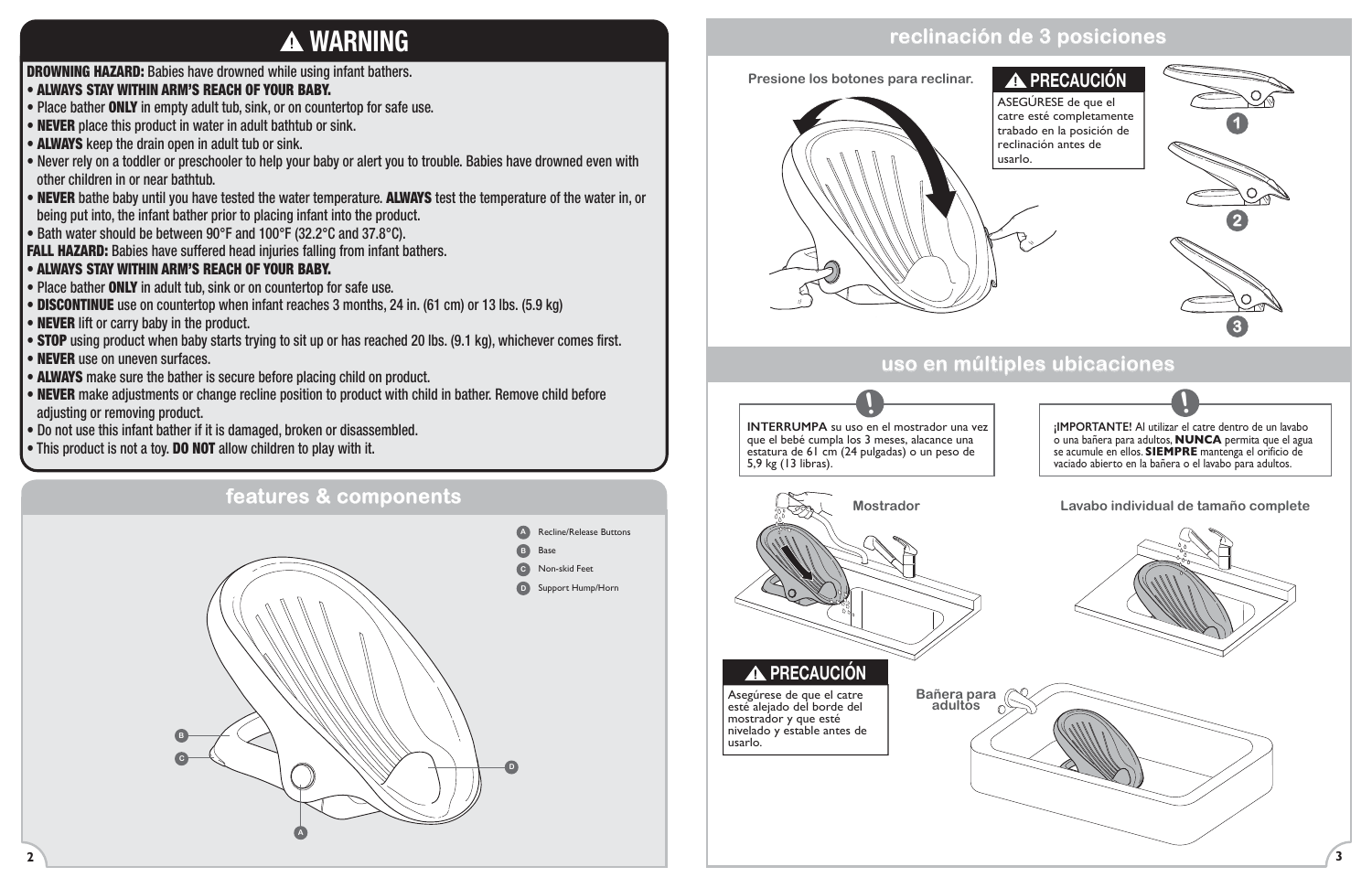

### • ALWAYS STAY WITHIN ARM'S REACH OF YOUR BABY.

- Place bather ONLY in empty adult tub, sink, or on countertop for safe use.
- **NEVER** place this product in water in adult bathtub or sink.
- **ALWAYS** keep the drain open in adult tub or sink.
- Never rely on a toddler or preschooler to help your baby or alert you to trouble. Babies have drowned even with other children in or near bathtub.
- NEVER bathe baby until you have tested the water temperature. ALWAYS test the temperature of the water in, or being put into, the infant bather prior to placing infant into the product.
- Bath water should be between 90°F and 100°F (32.2°C and 37.8°C).

FALL HAZARD: Babies have suffered head injuries falling from infant bathers.

- Place bather ONLY in adult tub, sink or on countertop for safe use.
- **DISCONTINUE** use on countertop when infant reaches 3 months, 24 in. (61 cm) or 13 lbs. (5.9 kg)
- **NEVER** lift or carry baby in the product.
- **STOP** using product when baby starts trying to sit up or has reached 20 lbs. (9.1 kg), whichever comes first.
- **NEVER** use on uneven surfaces.
- ALWAYS make sure the bather is secure before placing child on product.
- NEVER make adjustments or change recline position to product with child in bather. Remove child before adjusting or removing product.
- Do not use this infant bather if it is damaged, broken or disassembled.
- This product is not a toy. DO NOT allow children to play with it.

### • ALWAYS STAY WITHIN ARM'S REACH OF YOUR BABY.





# **WARNING**

## **reclinación de 3 posiciones**

## **A PRECAUCIÓN**

### **uso en múltiples ubicaciones**





### **Mostrador Lavabo individual de tamaño complete**

**Bañera para adultos**

ASEGÚRESE de que el catre esté completamente trabado en la posición de reclinación antes de usarlo.



Asegúrese de que el catre esté alejado del borde del mostrador y que esté nivelado y estable antes de usarlo.

## **PRECAUCIÓN**

**¡IMPORTANTE!** Al utilizar el catre dentro de un lavabo o una bañera para adultos, **NUNCA** permita que el agua se acumule en ellos. **SIEMPRE** mantenga el orificio de vaciado abierto en la bañera o el lavabo para adultos.

**!**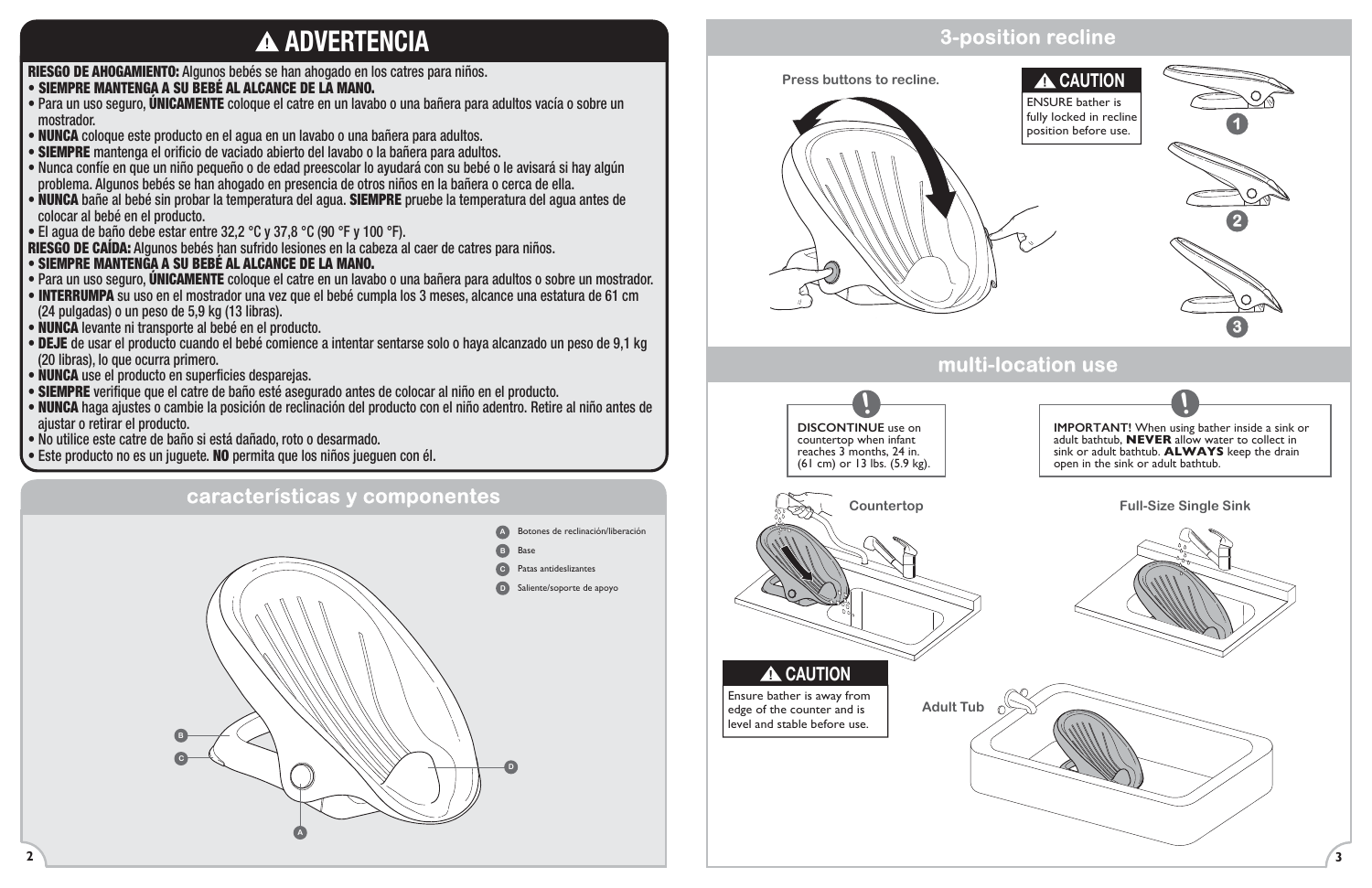RIESGO DE AHOGAMIENTO: Algunos bebés se han ahogado en los catres para niños.

### • SIEMPRE MANTENGA A SU BEBÉ AL ALCANCE DE LA MANO.

• Para un uso seguro, ÚNICAMENTE coloque el catre en un lavabo o una bañera para adultos vacía o sobre un mostrador.

- SIEMPRE MANTENGA A SU BEBÉ AL ALCANCE DE LA MANO.
- Para un uso seguro, ÚNICAMENTE coloque el catre en un lavabo o una bañera para adultos o sobre un mostrador.
- INTERRUMPA su uso en el mostrador una vez que el bebé cumpla los 3 meses, alcance una estatura de 61 cm (24 pulgadas) o un peso de 5,9 kg (13 libras).
- NUNCA levante ni transporte al bebé en el producto.
- DEJE de usar el producto cuando el bebé comience a intentar sentarse solo o haya alcanzado un peso de 9,1 kg (20 libras), lo que ocurra primero.
- NUNCA use el producto en superficies desparejas.
- SIEMPRE verifique que el catre de baño esté asegurado antes de colocar al niño en el producto.
- NUNCA haga ajustes o cambie la posición de reclinación del producto con el niño adentro. Retire al niño antes de ajustar o retirar el producto.
- No utilice este catre de baño si está dañado, roto o desarmado.
- Este producto no es un juguete. NO permita que los niños jueguen con él.
- NUNCA coloque este producto en el agua en un lavabo o una bañera para adultos.
- SIEMPRE mantenga el orificio de vaciado abierto del lavabo o la bañera para adultos.
- Nunca confíe en que un niño pequeño o de edad preescolar lo ayudará con su bebé o le avisará si hay algún problema. Algunos bebés se han ahogado en presencia de otros niños en la bañera o cerca de ella.
- NUNCA bañe al bebé sin probar la temperatura del agua. SIEMPRE pruebe la temperatura del agua antes de colocar al bebé en el producto.
- El agua de baño debe estar entre 32,2 °C y 37,8 °C (90 °F y 100 °F).

RIESGO DE CAÍDA: Algunos bebés han sufrido lesiones en la cabeza al caer de catres para niños.

# **ADVERTENCIA**



## **3-position recline**

### **A** CAUTION

### **multi-location use**



**Press buttons to recline.**

ENSURE bather is fully locked in recline position before use.



**IMPORTANT!** When using bather inside a sink or adult bathtub, **NEVER** allow water to collect in sink or adult bathtub. **ALWAYS** keep the drain

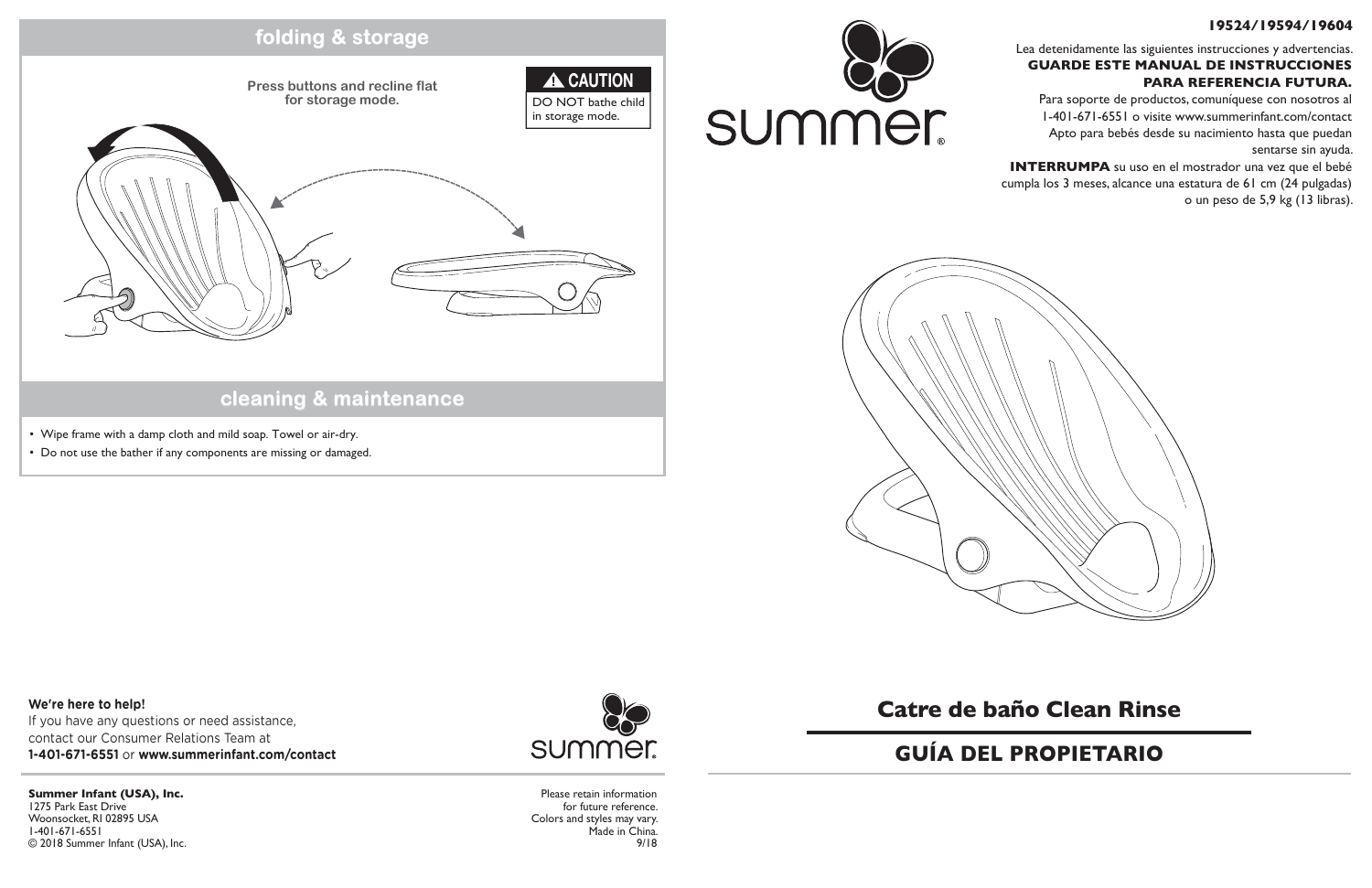**cleaning & maintenance**

## **folding & storage**

- Wipe frame with a damp cloth and mild soap. Towel or air-dry.
- Do not use the bather if any components are missing or damaged.

**Press buttons and recline flat for storage mode.**

> Please retain information for future reference. Colors and styles may vary. Made in China. 9/18

**Summer Infant (USA), Inc.** 1275 Park East Drive Woonsocket, RI 02895 USA 1-401-671-6551 © 2018 Summer Infant (USA), Inc.



**We're here to help!** If you have any questions or need assistance, contact our Consumer Relations Team at **1-401-671-6551** or **www.summerinfant.com/contact**





## **Catre de baño Clean Rinse**

### **19524/19594/19604**

Lea detenidamente las siguientes instrucciones y advertencias. **GUARDE ESTE MANUAL DE INSTRUCCIONES PARA REFERENCIA FUTURA.**

Para soporte de productos, comuníquese con nosotros al 1-401-671-6551 o visite www.summerinfant.com/contact Apto para bebés desde su nacimiento hasta que puedan sentarse sin ayuda.

**INTERRUMPA** su uso en el mostrador una vez que el bebé cumpla los 3 meses, alcance una estatura de 61 cm (24 pulgadas) o un peso de 5,9 kg (13 libras).



## **GUÍA DEL PROPIETARIO**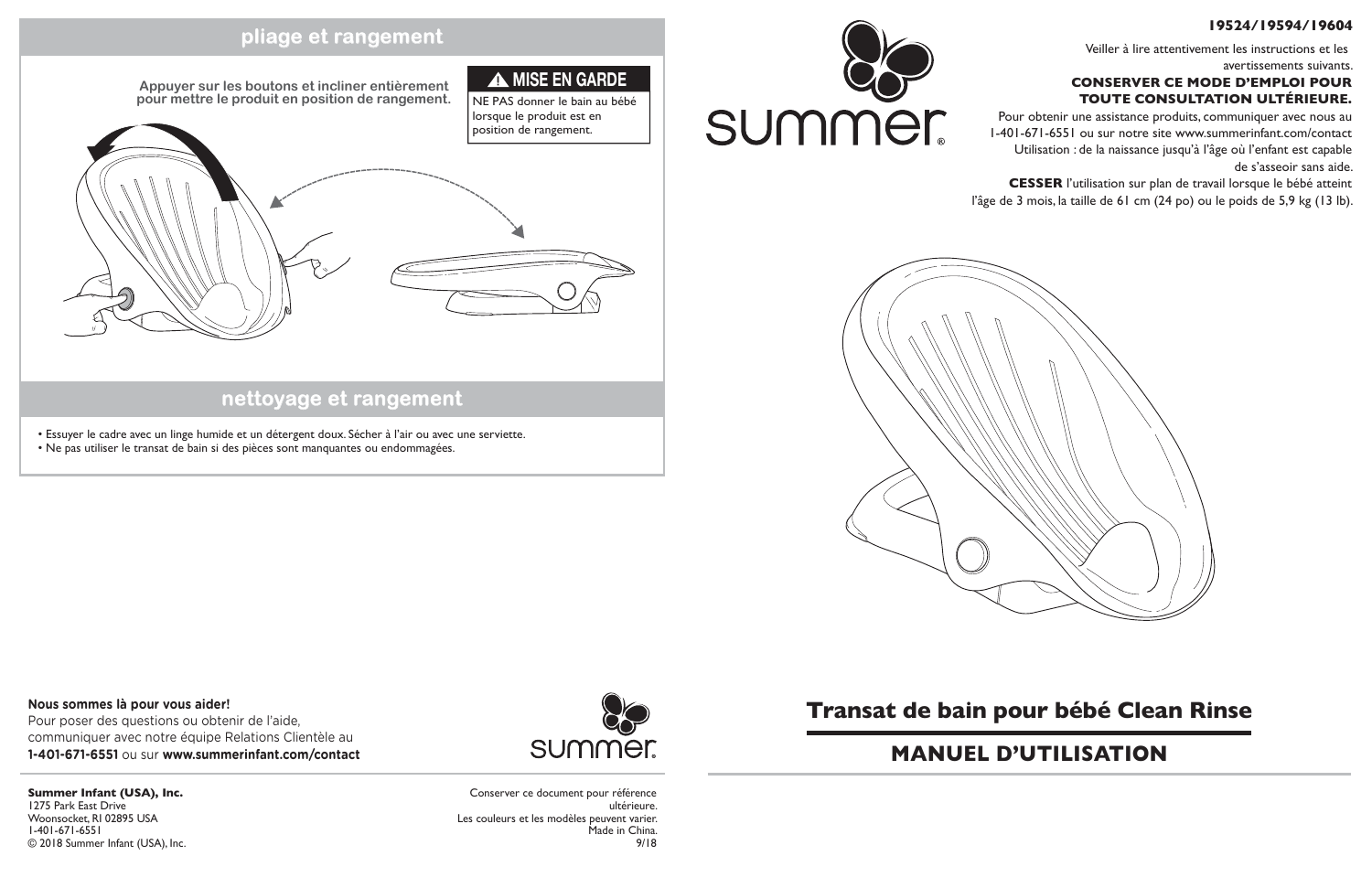## **nettoyage et rangement**

### **pliage et rangement**

- Essuyer le cadre avec un linge humide et un détergent doux. Sécher à l'air ou avec une serviette.
- Ne pas utiliser le transat de bain si des pièces sont manquantes ou endommagées.

Conserver ce document pour référence ultérieure. Les couleurs et les modèles peuvent varier. Made in China. 9/18

summer





**Summer Infant (USA), Inc.** 1275 Park East Drive Woonsocket, RI 02895 USA 1-401-671-6551 © 2018 Summer Infant (USA), Inc.





## **Transat de bain pour bébé Clean Rinse**

### **19524/19594/19604**

Veiller à lire attentivement les instructions et les avertissements suivants.

### **CONSERVER CE MODE D'EMPLOI POUR TOUTE CONSULTATION ULTÉRIEURE.**

Pour obtenir une assistance produits, communiquer avec nous au 1-401-671-6551 ou sur notre site www.summerinfant.com/contact Utilisation : de la naissance jusqu'à l'âge où l'enfant est capable de s'asseoir sans aide.

**CESSER** l'utilisation sur plan de travail lorsque le bébé atteint l'âge de 3 mois, la taille de 61 cm (24 po) ou le poids de 5,9 kg (13 lb).

## **MANUEL D'UTILISATION**